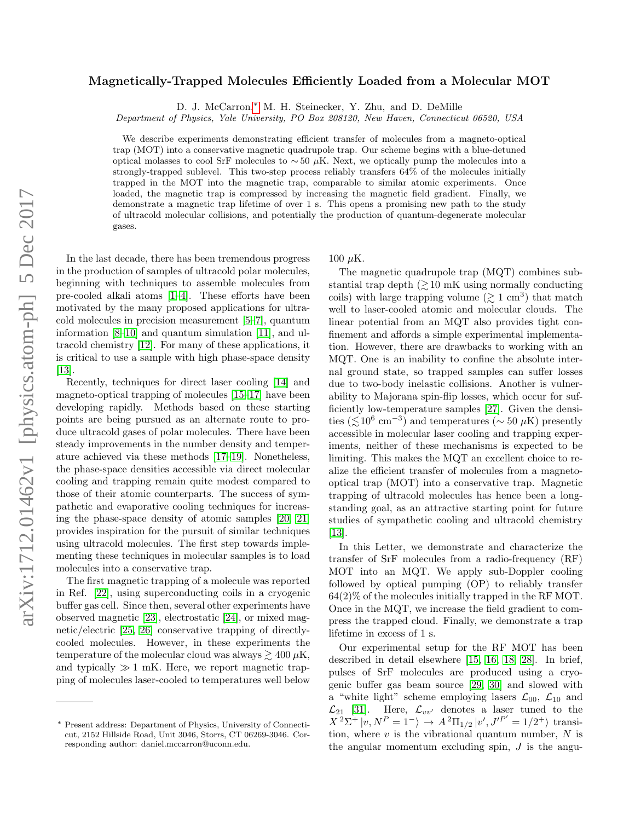# Magnetically-Trapped Molecules Efficiently Loaded from a Molecular MOT

D. J. McCarron,[∗](#page-0-0) M. H. Steinecker, Y. Zhu, and D. DeMille

Department of Physics, Yale University, PO Box 208120, New Haven, Connecticut 06520, USA

We describe experiments demonstrating efficient transfer of molecules from a magneto-optical trap (MOT) into a conservative magnetic quadrupole trap. Our scheme begins with a blue-detuned optical molasses to cool SrF molecules to  $\sim$  50 µK. Next, we optically pump the molecules into a strongly-trapped sublevel. This two-step process reliably transfers 64% of the molecules initially trapped in the MOT into the magnetic trap, comparable to similar atomic experiments. Once loaded, the magnetic trap is compressed by increasing the magnetic field gradient. Finally, we demonstrate a magnetic trap lifetime of over 1 s. This opens a promising new path to the study of ultracold molecular collisions, and potentially the production of quantum-degenerate molecular gases.

In the last decade, there has been tremendous progress in the production of samples of ultracold polar molecules, beginning with techniques to assemble molecules from pre-cooled alkali atoms [\[1](#page-4-0)[–4\]](#page-4-1). These efforts have been motivated by the many proposed applications for ultracold molecules in precision measurement [\[5–](#page-4-2)[7\]](#page-4-3), quantum information [\[8–](#page-4-4)[10\]](#page-4-5) and quantum simulation [\[11\]](#page-4-6), and ultracold chemistry [\[12\]](#page-4-7). For many of these applications, it is critical to use a sample with high phase-space density [\[13\]](#page-4-8).

Recently, techniques for direct laser cooling [\[14\]](#page-4-9) and magneto-optical trapping of molecules [\[15](#page-4-10)[–17\]](#page-5-0) have been developing rapidly. Methods based on these starting points are being pursued as an alternate route to produce ultracold gases of polar molecules. There have been steady improvements in the number density and temperature achieved via these methods [\[17](#page-5-0)[–19\]](#page-5-1). Nonetheless, the phase-space densities accessible via direct molecular cooling and trapping remain quite modest compared to those of their atomic counterparts. The success of sympathetic and evaporative cooling techniques for increasing the phase-space density of atomic samples [\[20,](#page-5-2) [21\]](#page-5-3) provides inspiration for the pursuit of similar techniques using ultracold molecules. The first step towards implementing these techniques in molecular samples is to load molecules into a conservative trap.

The first magnetic trapping of a molecule was reported in Ref. [\[22\]](#page-5-4), using superconducting coils in a cryogenic buffer gas cell. Since then, several other experiments have observed magnetic [\[23\]](#page-5-5), electrostatic [\[24\]](#page-5-6), or mixed magnetic/electric [\[25,](#page-5-7) [26\]](#page-5-8) conservative trapping of directlycooled molecules. However, in these experiments the temperature of the molecular cloud was always  $\gtrsim 400 \,\mu\text{K}$ , and typically  $\gg 1$  mK. Here, we report magnetic trapping of molecules laser-cooled to temperatures well below

100  $\mu$ K.

The magnetic quadrupole trap (MQT) combines substantial trap depth  $\approx 10$  mK using normally conducting coils) with large trapping volume  $(\gtrsim 1 \text{ cm}^3)$  that match well to laser-cooled atomic and molecular clouds. The linear potential from an MQT also provides tight confinement and affords a simple experimental implementation. However, there are drawbacks to working with an MQT. One is an inability to confine the absolute internal ground state, so trapped samples can suffer losses due to two-body inelastic collisions. Another is vulnerability to Majorana spin-flip losses, which occur for sufficiently low-temperature samples [\[27\]](#page-5-9). Given the densities ( $\lesssim 10^6$  cm<sup>-3</sup>) and temperatures (~ 50 µK) presently accessible in molecular laser cooling and trapping experiments, neither of these mechanisms is expected to be limiting. This makes the MQT an excellent choice to realize the efficient transfer of molecules from a magnetooptical trap (MOT) into a conservative trap. Magnetic trapping of ultracold molecules has hence been a longstanding goal, as an attractive starting point for future studies of sympathetic cooling and ultracold chemistry [\[13\]](#page-4-8).

In this Letter, we demonstrate and characterize the transfer of SrF molecules from a radio-frequency (RF) MOT into an MQT. We apply sub-Doppler cooling followed by optical pumping (OP) to reliably transfer  $64(2)\%$  of the molecules initially trapped in the RF MOT. Once in the MQT, we increase the field gradient to compress the trapped cloud. Finally, we demonstrate a trap lifetime in excess of 1 s.

Our experimental setup for the RF MOT has been described in detail elsewhere [\[15,](#page-4-10) [16,](#page-5-10) [18,](#page-5-11) [28\]](#page-5-12). In brief, pulses of SrF molecules are produced using a cryogenic buffer gas beam source [\[29,](#page-5-13) [30\]](#page-5-14) and slowed with a "white light" scheme employing lasers  $\mathcal{L}_{00}$ ,  $\mathcal{L}_{10}$  and  $\mathcal{L}_{21}$  [\[31\]](#page-5-15). Here,  $\mathcal{L}_{vv'}$  denotes a laser tuned to the  $X^2\Sigma^+|v,N^P=1^ \rangle \rightarrow A^2\Pi_{1/2}|v',J'^{P'}=1/2^+$  transition, where  $v$  is the vibrational quantum number,  $N$  is the angular momentum excluding spin,  $J$  is the angu-

<span id="page-0-0"></span><sup>∗</sup> Present address: Department of Physics, University of Connecticut, 2152 Hillside Road, Unit 3046, Storrs, CT 06269-3046. Corresponding author: daniel.mccarron@uconn.edu.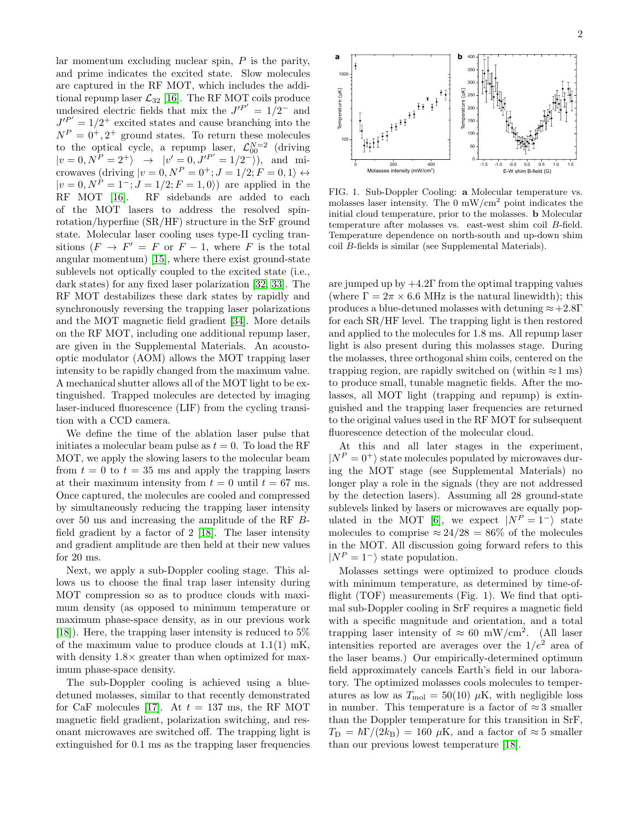lar momentum excluding nuclear spin,  $P$  is the parity, and prime indicates the excited state. Slow molecules are captured in the RF MOT, which includes the additional repump laser  $\mathcal{L}_{32}$  [\[16\]](#page-5-10). The RF MOT coils produce undesired electric fields that mix the  $J'^{P'} = 1/2^-$  and  $J'^{P'} = 1/2^+$  excited states and cause branching into the  $N^P = 0^+, 2^+$  ground states. To return these molecules to the optical cycle, a repump laser,  $\mathcal{L}_{00}^{N=2}$  (driving  $|v=0, N^{P}=2^{+}\rangle \rightarrow |v'=0, J'^{P'}=1/2^{-}\rangle), \text{ and } \text{mi-}$ crowaves (driving  $|v = 0, N^P = 0^+; J = 1/2; F = 0, 1 \rangle \leftrightarrow$  $|v = 0, N^P = 1^-; J = 1/2; F = 1, 0$ ) are applied in the RF MOT [\[16\]](#page-5-10). RF sidebands are added to each of the MOT lasers to address the resolved spinrotation/hyperfine (SR/HF) structure in the SrF ground state. Molecular laser cooling uses type-II cycling transitions  $(F \to F' = F \text{ or } F - 1$ , where F is the total angular momentum) [\[15\]](#page-4-10), where there exist ground-state sublevels not optically coupled to the excited state (i.e., dark states) for any fixed laser polarization [\[32,](#page-5-16) [33\]](#page-5-17). The RF MOT destabilizes these dark states by rapidly and synchronously reversing the trapping laser polarizations and the MOT magnetic field gradient [\[34\]](#page-5-18). More details on the RF MOT, including one additional repump laser, are given in the Supplemental Materials. An acoustooptic modulator (AOM) allows the MOT trapping laser intensity to be rapidly changed from the maximum value. A mechanical shutter allows all of the MOT light to be extinguished. Trapped molecules are detected by imaging laser-induced fluorescence (LIF) from the cycling transition with a CCD camera.

We define the time of the ablation laser pulse that initiates a molecular beam pulse as  $t = 0$ . To load the RF MOT, we apply the slowing lasers to the molecular beam from  $t = 0$  to  $t = 35$  ms and apply the trapping lasers at their maximum intensity from  $t = 0$  until  $t = 67$  ms. Once captured, the molecules are cooled and compressed by simultaneously reducing the trapping laser intensity over 50 ms and increasing the amplitude of the RF Bfield gradient by a factor of 2 [\[18\]](#page-5-11). The laser intensity and gradient amplitude are then held at their new values for 20 ms.

Next, we apply a sub-Doppler cooling stage. This allows us to choose the final trap laser intensity during MOT compression so as to produce clouds with maximum density (as opposed to minimum temperature or maximum phase-space density, as in our previous work [\[18\]](#page-5-11)). Here, the trapping laser intensity is reduced to 5% of the maximum value to produce clouds at 1.1(1) mK, with density  $1.8\times$  greater than when optimized for maximum phase-space density.

The sub-Doppler cooling is achieved using a bluedetuned molasses, similar to that recently demonstrated for CaF molecules [\[17\]](#page-5-0). At  $t = 137$  ms, the RF MOT magnetic field gradient, polarization switching, and resonant microwaves are switched off. The trapping light is extinguished for 0.1 ms as the trapping laser frequencies



FIG. 1. Sub-Doppler Cooling: a Molecular temperature vs. molasses laser intensity. The  $0 \text{ mW/cm}^2$  point indicates the initial cloud temperature, prior to the molasses. b Molecular temperature after molasses vs. east-west shim coil B-field. Temperature dependence on north-south and up-down shim coil B-fields is similar (see Supplemental Materials).

are jumped up by  $+4.2\Gamma$  from the optimal trapping values (where  $\Gamma = 2\pi \times 6.6$  MHz is the natural linewidth); this produces a blue-detuned molasses with detuning  $\approx +2.8\Gamma$ for each SR/HF level. The trapping light is then restored and applied to the molecules for 1.8 ms. All repump laser light is also present during this molasses stage. During the molasses, three orthogonal shim coils, centered on the trapping region, are rapidly switched on (within  $\approx 1$  ms) to produce small, tunable magnetic fields. After the molasses, all MOT light (trapping and repump) is extinguished and the trapping laser frequencies are returned to the original values used in the RF MOT for subsequent fluorescence detection of the molecular cloud.

At this and all later stages in the experiment,  $|N^P = 0^+\rangle$  state molecules populated by microwaves during the MOT stage (see Supplemental Materials) no longer play a role in the signals (they are not addressed by the detection lasers). Assuming all 28 ground-state sublevels linked by lasers or microwaves are equally pop-ulated in the MOT [\[6\]](#page-4-11), we expect  $|N^P = 1^-|$  state molecules to comprise  $\approx 24/28 = 86\%$  of the molecules in the MOT. All discussion going forward refers to this  $|N^P = 1^-|$  state population.

Molasses settings were optimized to produce clouds with minimum temperature, as determined by time-offlight  $(TOF)$  measurements  $(Fig. 1)$ . We find that optimal sub-Doppler cooling in SrF requires a magnetic field with a specific magnitude and orientation, and a total trapping laser intensity of  $\approx 60$  mW/cm<sup>2</sup>. (All laser intensities reported are averages over the  $1/e^2$  area of the laser beams.) Our empirically-determined optimum field approximately cancels Earth's field in our laboratory. The optimized molasses cools molecules to temperatures as low as  $T_{\text{mol}} = 50(10) \mu K$ , with negligible loss in number. This temperature is a factor of  $\approx 3$  smaller than the Doppler temperature for this transition in SrF,  $T_{\rm D} = \hbar\Gamma/(2k_{\rm B}) = 160~\mu{\rm K}$ , and a factor of  $\approx 5$  smaller than our previous lowest temperature [\[18\]](#page-5-11).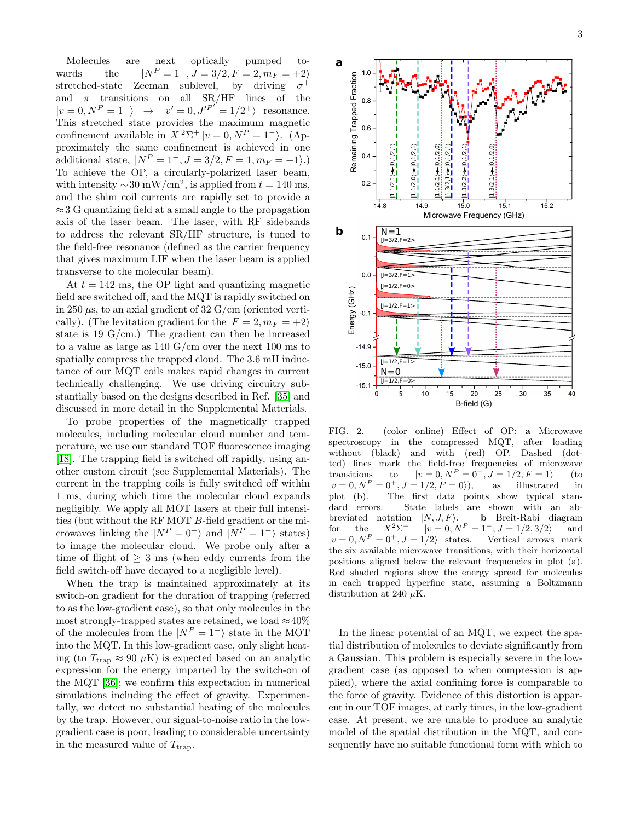Molecules are next optically pumped towards the  $|N^P = 1^-, J = 3/2, F = 2, m_F = +2\rangle$ stretched-state Zeeman sublevel, by driving  $\sigma^+$ and  $\pi$  transitions on all SR/HF lines of the  $|v=0, N^P=1^- \rangle \rightarrow |v'=0, J'^{P'}=1/2^+ \rangle$  resonance. This stretched state provides the maximum magnetic confinement available in  $X^2\Sigma^+|v=0,N^P=1^-$ ). (Approximately the same confinement is achieved in one additional state,  $|N^P = 1^-, J = 3/2, F = 1, m_F = +1\rangle.$ To achieve the OP, a circularly-polarized laser beam, with intensity  $\sim 30 \text{ mW/cm}^2$ , is applied from  $t = 140 \text{ ms}$ , and the shim coil currents are rapidly set to provide a ≈3 G quantizing field at a small angle to the propagation axis of the laser beam. The laser, with RF sidebands to address the relevant SR/HF structure, is tuned to the field-free resonance (defined as the carrier frequency that gives maximum LIF when the laser beam is applied transverse to the molecular beam).

At  $t = 142$  ms, the OP light and quantizing magnetic field are switched off, and the MQT is rapidly switched on in 250  $\mu$ s, to an axial gradient of 32 G/cm (oriented vertically). (The levitation gradient for the  $|F = 2, m_F = +2\rangle$ state is 19  $G/cm.$ ) The gradient can then be increased to a value as large as 140 G/cm over the next 100 ms to spatially compress the trapped cloud. The 3.6 mH inductance of our MQT coils makes rapid changes in current technically challenging. We use driving circuitry substantially based on the designs described in Ref. [\[35\]](#page-5-19) and discussed in more detail in the Supplemental Materials.

To probe properties of the magnetically trapped molecules, including molecular cloud number and temperature, we use our standard TOF fluorescence imaging [\[18\]](#page-5-11). The trapping field is switched off rapidly, using another custom circuit (see Supplemental Materials). The current in the trapping coils is fully switched off within 1 ms, during which time the molecular cloud expands negligibly. We apply all MOT lasers at their full intensities (but without the RF MOT B-field gradient or the microwaves linking the  $|N^P = 0^+\rangle$  and  $|N^P = 1^-\rangle$  states) to image the molecular cloud. We probe only after a time of flight of  $\geq 3$  ms (when eddy currents from the field switch-off have decayed to a negligible level).

When the trap is maintained approximately at its switch-on gradient for the duration of trapping (referred to as the low-gradient case), so that only molecules in the most strongly-trapped states are retained, we load  $\approx 40\%$ of the molecules from the  $|N^P = 1^-|$  state in the MOT into the MQT. In this low-gradient case, only slight heating (to  $T_{trap} \approx 90 \mu K$ ) is expected based on an analytic expression for the energy imparted by the switch-on of the MQT [\[36\]](#page-5-20); we confirm this expectation in numerical simulations including the effect of gravity. Experimentally, we detect no substantial heating of the molecules by the trap. However, our signal-to-noise ratio in the lowgradient case is poor, leading to considerable uncertainty in the measured value of  $T_{\text{trap}}$ .



FIG. 2. (color online) Effect of OP: a Microwave spectroscopy in the compressed MQT, after loading without (black) and with (red) OP. Dashed (dotted) lines mark the field-free frequencies of microwave<br>transitions to  $|v = 0, N^P = 0^+, J = 1/2, F = 1\rangle$  (to transitions to  $|v = 0, N^P = 0^+, J = 1/2, F = 1\rangle$  (to  $|v = 0, N^P = 0^+, J = 1/2, F = 0\rangle$ ), as illustrated in  $= 0^+, J = 1/2, F = 0$ ; as illustrated in plot (b). The first data points show typical standard errors. State labels are shown with an abbreviated notation  $|N, J, F\rangle$ . **b** Breit-Rabi diagram  $for$  the  $X^2\Sigma^+$ +  $|v = 0; N^P = 1^-; J = 1/2, 3/2$  and  $|v = 0, N^P = 0^+, J = 1/2$  states. Vertical arrows mark the six available microwave transitions, with their horizontal positions aligned below the relevant frequencies in plot (a). Red shaded regions show the energy spread for molecules in each trapped hyperfine state, assuming a Boltzmann distribution at 240  $\mu$ K.

In the linear potential of an MQT, we expect the spatial distribution of molecules to deviate significantly from a Gaussian. This problem is especially severe in the lowgradient case (as opposed to when compression is applied), where the axial confining force is comparable to the force of gravity. Evidence of this distortion is apparent in our TOF images, at early times, in the low-gradient case. At present, we are unable to produce an analytic model of the spatial distribution in the MQT, and consequently have no suitable functional form with which to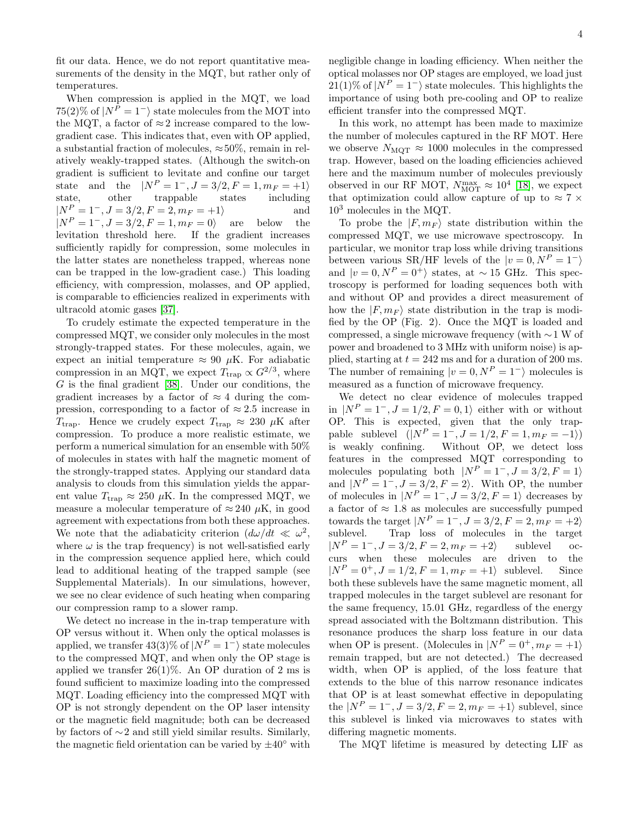fit our data. Hence, we do not report quantitative measurements of the density in the MQT, but rather only of temperatures.

When compression is applied in the MQT, we load  $75(2)\%$  of  $|N^P = 1^-$  state molecules from the MOT into the MQT, a factor of  $\approx 2$  increase compared to the lowgradient case. This indicates that, even with OP applied, a substantial fraction of molecules,  $\approx 50\%$ , remain in relatively weakly-trapped states. (Although the switch-on gradient is sufficient to levitate and confine our target state and the  $|N^P = 1^-, J = 3/2, F = 1, m_F = +1\rangle$ <br>state, other trappable states including state, other trappable states  $|N^P = 1^-, J = 3/2, F = 2, m_F = +1$  and  $|N^P = 1^-, J = 3/2, F = 1, m_F = 0\rangle$  are below the levitation threshold here. If the gradient increases sufficiently rapidly for compression, some molecules in the latter states are nonetheless trapped, whereas none can be trapped in the low-gradient case.) This loading efficiency, with compression, molasses, and OP applied, is comparable to efficiencies realized in experiments with ultracold atomic gases [\[37\]](#page-5-21).

To crudely estimate the expected temperature in the compressed MQT, we consider only molecules in the most strongly-trapped states. For these molecules, again, we expect an initial temperature  $\approx 90 \mu K$ . For adiabatic compression in an MQT, we expect  $T_{\text{trap}} \propto G^{2/3}$ , where  $G$  is the final gradient [\[38\]](#page-5-22). Under our conditions, the gradient increases by a factor of  $\approx 4$  during the compression, corresponding to a factor of  $\approx 2.5$  increase in  $T_{trap}$ . Hence we crudely expect  $T_{trap} \approx 230 \mu K$  after compression. To produce a more realistic estimate, we perform a numerical simulation for an ensemble with 50% of molecules in states with half the magnetic moment of the strongly-trapped states. Applying our standard data analysis to clouds from this simulation yields the apparent value  $T_{trap} \approx 250 \mu K$ . In the compressed MQT, we measure a molecular temperature of  $\approx 240 \mu K$ , in good agreement with expectations from both these approaches. We note that the adiabaticity criterion  $(d\omega/dt \ll \omega^2)$ , where  $\omega$  is the trap frequency) is not well-satisfied early in the compression sequence applied here, which could lead to additional heating of the trapped sample (see Supplemental Materials). In our simulations, however, we see no clear evidence of such heating when comparing our compression ramp to a slower ramp.

We detect no increase in the in-trap temperature with OP versus without it. When only the optical molasses is applied, we transfer  $43(3)\%$  of  $|N^P = 1^-$  state molecules to the compressed MQT, and when only the OP stage is applied we transfer  $26(1)\%$ . An OP duration of 2 ms is found sufficient to maximize loading into the compressed MQT. Loading efficiency into the compressed MQT with OP is not strongly dependent on the OP laser intensity or the magnetic field magnitude; both can be decreased by factors of ∼2 and still yield similar results. Similarly, the magnetic field orientation can be varied by  $\pm 40°$  with

negligible change in loading efficiency. When neither the optical molasses nor OP stages are employed, we load just 21(1)% of  $|N^P = 1^-$  state molecules. This highlights the importance of using both pre-cooling and OP to realize efficient transfer into the compressed MQT.

In this work, no attempt has been made to maximize the number of molecules captured in the RF MOT. Here we observe  $N_{\text{MQT}} \approx 1000$  molecules in the compressed trap. However, based on the loading efficiencies achieved here and the maximum number of molecules previously observed in our RF MOT,  $N_{\text{MOT}}^{\text{max}} \approx 10^4$  [\[18\]](#page-5-11), we expect that optimization could allow capture of up to  $\approx 7 \times$  $10<sup>3</sup>$  molecules in the MQT.

To probe the  $|F, m_F\rangle$  state distribution within the compressed MQT, we use microwave spectroscopy. In particular, we monitor trap loss while driving transitions between various SR/HF levels of the  $|v = 0, N^P = 1^$ and  $|v = 0, N^P = 0^+\rangle$  states, at ~ 15 GHz. This spectroscopy is performed for loading sequences both with and without OP and provides a direct measurement of how the  $|F, m_F\rangle$  state distribution in the trap is modified by the OP (Fig. 2). Once the MQT is loaded and compressed, a single microwave frequency (with ∼1 W of power and broadened to 3 MHz with uniform noise) is applied, starting at  $t = 242$  ms and for a duration of 200 ms. The number of remaining  $|v = 0, N^P = 1^-$  molecules is measured as a function of microwave frequency.

We detect no clear evidence of molecules trapped in  $|N^P = 1^-, J = 1/2, F = 0, 1\rangle$  either with or without OP. This is expected, given that the only trappable sublevel  $(|N^P = 1^-, J = 1/2, F = 1, m_F = -1\rangle)$ is weakly confining. Without OP, we detect loss features in the compressed MQT corresponding to molecules populating both  $|N^P = 1^-, J = 3/2, F = 1\rangle$ and  $|N^P = 1^-, J = 3/2, F = 2\rangle$ . With OP, the number of molecules in  $|N^P = 1^-, J = 3/2, F = 1\rangle$  decreases by a factor of  $\approx$  1.8 as molecules are successfully pumped towards the target  $|N^P = 1^-, J = 3/2, F = 2, m_F = +2\rangle$ sublevel. Trap loss of molecules in the target  $|N^P = 1^-, J = 3/2, F = 2, m_F = +2$  sublevel occurs when these molecules are driven to the  $|N^P = 0^+, J = 1/2, F = 1, m_F = +1\rangle$  sublevel. Since both these sublevels have the same magnetic moment, all trapped molecules in the target sublevel are resonant for the same frequency, 15.01 GHz, regardless of the energy spread associated with the Boltzmann distribution. This resonance produces the sharp loss feature in our data when OP is present. (Molecules in  $|N^P = 0^+, m_F = +1\rangle$ remain trapped, but are not detected.) The decreased width, when OP is applied, of the loss feature that extends to the blue of this narrow resonance indicates that OP is at least somewhat effective in depopulating the  $|N^P = 1^-, J = 3/2, F = 2, m_F = +1\rangle$  sublevel, since this sublevel is linked via microwaves to states with differing magnetic moments.

The MQT lifetime is measured by detecting LIF as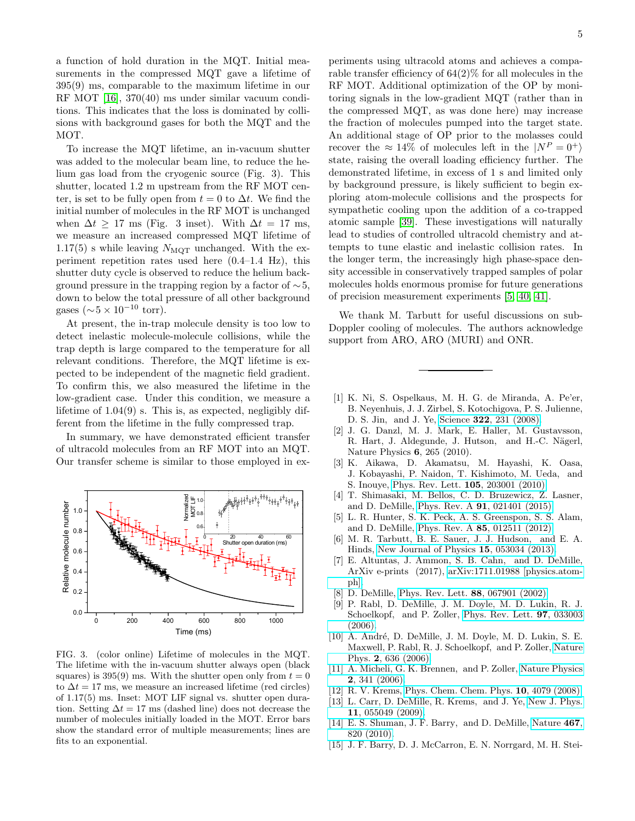a function of hold duration in the MQT. Initial measurements in the compressed MQT gave a lifetime of 395(9) ms, comparable to the maximum lifetime in our RF MOT [\[16\]](#page-5-10), 370(40) ms under similar vacuum conditions. This indicates that the loss is dominated by collisions with background gases for both the MQT and the MOT.

To increase the MQT lifetime, an in-vacuum shutter was added to the molecular beam line, to reduce the helium gas load from the cryogenic source (Fig. 3). This shutter, located 1.2 m upstream from the RF MOT center, is set to be fully open from  $t = 0$  to  $\Delta t$ . We find the initial number of molecules in the RF MOT is unchanged when  $\Delta t \geq 17$  ms (Fig. 3 inset). With  $\Delta t = 17$  ms, we measure an increased compressed MQT lifetime of 1.17(5) s while leaving  $N_{\text{MQT}}$  unchanged. With the experiment repetition rates used here (0.4–1.4 Hz), this shutter duty cycle is observed to reduce the helium background pressure in the trapping region by a factor of  $\sim$ 5, down to below the total pressure of all other background gases ( $\sim 5 \times 10^{-10}$  torr).

At present, the in-trap molecule density is too low to detect inelastic molecule-molecule collisions, while the trap depth is large compared to the temperature for all relevant conditions. Therefore, the MQT lifetime is expected to be independent of the magnetic field gradient. To confirm this, we also measured the lifetime in the low-gradient case. Under this condition, we measure a lifetime of  $1.04(9)$  s. This is, as expected, negligibly different from the lifetime in the fully compressed trap.

In summary, we have demonstrated efficient transfer of ultracold molecules from an RF MOT into an MQT. Our transfer scheme is similar to those employed in ex-



FIG. 3. (color online) Lifetime of molecules in the MQT. The lifetime with the in-vacuum shutter always open (black squares) is 395(9) ms. With the shutter open only from  $t = 0$ to  $\Delta t = 17$  ms, we measure an increased lifetime (red circles) of 1.17(5) ms. Inset: MOT LIF signal vs. shutter open duration. Setting  $\Delta t = 17$  ms (dashed line) does not decrease the number of molecules initially loaded in the MOT. Error bars show the standard error of multiple measurements; lines are fits to an exponential.

periments using ultracold atoms and achieves a comparable transfer efficiency of 64(2)% for all molecules in the RF MOT. Additional optimization of the OP by monitoring signals in the low-gradient MQT (rather than in the compressed MQT, as was done here) may increase the fraction of molecules pumped into the target state. An additional stage of OP prior to the molasses could recover the  $\approx 14\%$  of molecules left in the  $|N^P=0^+\rangle$ state, raising the overall loading efficiency further. The demonstrated lifetime, in excess of 1 s and limited only by background pressure, is likely sufficient to begin exploring atom-molecule collisions and the prospects for sympathetic cooling upon the addition of a co-trapped atomic sample [\[39\]](#page-5-23). These investigations will naturally lead to studies of controlled ultracold chemistry and attempts to tune elastic and inelastic collision rates. In the longer term, the increasingly high phase-space density accessible in conservatively trapped samples of polar molecules holds enormous promise for future generations of precision measurement experiments [\[5,](#page-4-2) [40,](#page-5-24) [41\]](#page-5-25).

We thank M. Tarbutt for useful discussions on sub-Doppler cooling of molecules. The authors acknowledge support from ARO, ARO (MURI) and ONR.

- <span id="page-4-0"></span>[1] K. Ni, S. Ospelkaus, M. H. G. de Miranda, A. Pe'er, B. Neyenhuis, J. J. Zirbel, S. Kotochigova, P. S. Julienne, D. S. Jin, and J. Ye, Science 322[, 231 \(2008\).](http://dx.doi.org/ 10.1126/science.1163861)
- [2] J. G. Danzl, M. J. Mark, E. Haller, M. Gustavsson, R. Hart, J. Aldegunde, J. Hutson, and H.-C. Nägerl, Nature Physics 6, 265 (2010).
- [3] K. Aikawa, D. Akamatsu, M. Hayashi, K. Oasa, J. Kobayashi, P. Naidon, T. Kishimoto, M. Ueda, and S. Inouye, [Phys. Rev. Lett.](http://dx.doi.org/ 10.1103/PhysRevLett.105.203001) 105, 203001 (2010).
- <span id="page-4-1"></span>[4] T. Shimasaki, M. Bellos, C. D. Bruzewicz, Z. Lasner, and D. DeMille, Phys. Rev. A 91[, 021401 \(2015\).](http://dx.doi.org/ 10.1103/PhysRevA.91.021401)
- <span id="page-4-2"></span>[5] L. R. Hunter, S. K. Peck, A. S. Greenspon, S. S. Alam, and D. DeMille, Phys. Rev. A 85[, 012511 \(2012\).](http://dx.doi.org/10.1103/PhysRevA.85.012511)
- <span id="page-4-11"></span>[6] M. R. Tarbutt, B. E. Sauer, J. J. Hudson, and E. A. Hinds, [New Journal of Physics](http://stacks.iop.org/1367-2630/15/i=5/a=053034) 15, 053034 (2013).
- <span id="page-4-3"></span>[7] E. Altuntas, J. Ammon, S. B. Cahn, and D. DeMille, ArXiv e-prints (2017), [arXiv:1711.01988 \[physics.atom](http://arxiv.org/abs/1711.01988)[ph\].](http://arxiv.org/abs/1711.01988)
- <span id="page-4-4"></span>[8] D. DeMille, [Phys. Rev. Lett.](http://dx.doi.org/10.1103/PhysRevLett.88.067901) 88, 067901 (2002).
- [9] P. Rabl, D. DeMille, J. M. Doyle, M. D. Lukin, R. J. Schoelkopf, and P. Zoller, [Phys. Rev. Lett.](http://dx.doi.org/ 10.1103/PhysRevLett.97.033003) 97, 033003 [\(2006\).](http://dx.doi.org/ 10.1103/PhysRevLett.97.033003)
- <span id="page-4-5"></span>[10] A. André, D. DeMille, J. M. Doyle, M. D. Lukin, S. E. Maxwell, P. Rabl, R. J. Schoelkopf, and P. Zoller, [Nature](http://dx.doi.org/10.1038/nphys386) Phys. 2[, 636 \(2006\).](http://dx.doi.org/10.1038/nphys386)
- <span id="page-4-6"></span>[11] A. Micheli, G. K. Brennen, and P. Zoller, [Nature Physics](http://dx.doi.org/10.1038/nphys287) 2[, 341 \(2006\).](http://dx.doi.org/10.1038/nphys287)
- <span id="page-4-7"></span>[12] R. V. Krems, [Phys. Chem. Chem. Phys.](http://dx.doi.org/10.1039/b802322k) **10**, 4079 (2008).
- <span id="page-4-8"></span>[13] L. Carr, D. DeMille, R. Krems, and J. Ye, [New J. Phys.](http://dx.doi.org/ 10.1088/1367-2630/11/5/055049) 11[, 055049 \(2009\).](http://dx.doi.org/ 10.1088/1367-2630/11/5/055049)
- <span id="page-4-9"></span>[14] E. S. Shuman, J. F. Barry, and D. DeMille, [Nature](http://dx.doi.org/10.1038/nature09443)  $467$ , [820 \(2010\).](http://dx.doi.org/10.1038/nature09443)
- <span id="page-4-10"></span>[15] J. F. Barry, D. J. McCarron, E. N. Norrgard, M. H. Stei-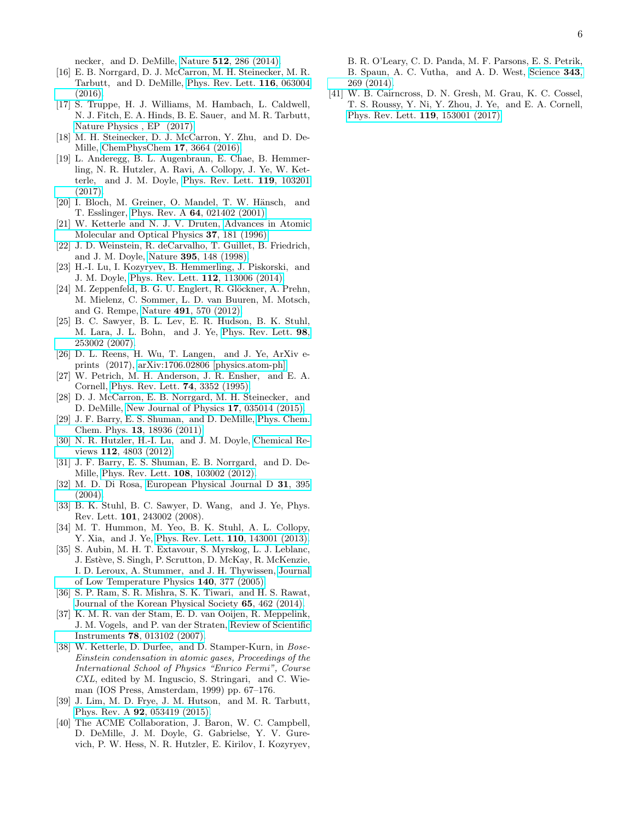necker, and D. DeMille, Nature 512[, 286 \(2014\).](http://dx.doi.org/ 10.1038/nature13634)

- <span id="page-5-10"></span>[16] E. B. Norrgard, D. J. McCarron, M. H. Steinecker, M. R. Tarbutt, and D. DeMille, [Phys. Rev. Lett.](http://dx.doi.org/10.1103/PhysRevLett.116.063004) 116, 063004 [\(2016\).](http://dx.doi.org/10.1103/PhysRevLett.116.063004)
- <span id="page-5-0"></span>[17] S. Truppe, H. J. Williams, M. Hambach, L. Caldwell, N. J. Fitch, E. A. Hinds, B. E. Sauer, and M. R. Tarbutt, [Nature Physics , EP \(2017\).](http://dx.doi.org/10.1038/nphys4241)
- <span id="page-5-11"></span>[18] M. H. Steinecker, D. J. McCarron, Y. Zhu, and D. De-Mille, [ChemPhysChem](http://dx.doi.org/10.1002/cphc.201600967) 17, 3664 (2016).
- <span id="page-5-1"></span>[19] L. Anderegg, B. L. Augenbraun, E. Chae, B. Hemmerling, N. R. Hutzler, A. Ravi, A. Collopy, J. Ye, W. Ketterle, and J. M. Doyle, [Phys. Rev. Lett.](http://dx.doi.org/10.1103/PhysRevLett.119.103201) 119, 103201  $(2017)$
- <span id="page-5-2"></span>[20] I. Bloch, M. Greiner, O. Mandel, T. W. Hänsch, and T. Esslinger, Phys. Rev. A 64[, 021402 \(2001\).](http://dx.doi.org/ 10.1103/PhysRevA.64.021402)
- <span id="page-5-3"></span>[21] W. Ketterle and N. J. V. Druten, [Advances in Atomic](http://dx.doi.org/10.1016/S1049-250X(08)60101-9) [Molecular and Optical Physics](http://dx.doi.org/10.1016/S1049-250X(08)60101-9) 37, 181 (1996).
- <span id="page-5-4"></span>[22] J. D. Weinstein, R. deCarvalho, T. Guillet, B. Friedrich, and J. M. Doyle, Nature 395[, 148 \(1998\).](http://dx.doi.org/10.1038/25949)
- <span id="page-5-5"></span>[23] H.-I. Lu, I. Kozyryev, B. Hemmerling, J. Piskorski, and J. M. Doyle, [Phys. Rev. Lett.](http://dx.doi.org/ 10.1103/PhysRevLett.112.113006) 112, 113006 (2014).
- <span id="page-5-6"></span>[24] M. Zeppenfeld, B. G. U. Englert, R. Glöckner, A. Prehn, M. Mielenz, C. Sommer, L. D. van Buuren, M. Motsch, and G. Rempe, Nature 491[, 570 \(2012\).](http://dx.doi.org/ 10.1038/nature11595)
- <span id="page-5-7"></span>[25] B. C. Sawyer, B. L. Lev, E. R. Hudson, B. K. Stuhl, M. Lara, J. L. Bohn, and J. Ye, [Phys. Rev. Lett.](http://dx.doi.org/10.1103/PhysRevLett.98.253002) 98, [253002 \(2007\).](http://dx.doi.org/10.1103/PhysRevLett.98.253002)
- <span id="page-5-8"></span>[26] D. L. Reens, H. Wu, T. Langen, and J. Ye, ArXiv eprints (2017), [arXiv:1706.02806 \[physics.atom-ph\].](http://arxiv.org/abs/1706.02806)
- <span id="page-5-9"></span>[27] W. Petrich, M. H. Anderson, J. R. Ensher, and E. A. Cornell, [Phys. Rev. Lett.](http://dx.doi.org/10.1103/PhysRevLett.74.3352) 74, 3352 (1995).
- <span id="page-5-12"></span>[28] D. J. McCarron, E. B. Norrgard, M. H. Steinecker, and D. DeMille, [New Journal of Physics](http://dx.doi.org/10.1088/1367-2630/17/3/035014) 17, 035014 (2015).
- <span id="page-5-13"></span>[29] J. F. Barry, E. S. Shuman, and D. DeMille, [Phys. Chem.](http://dx.doi.org/10.1039/C1CP20335E) Chem. Phys. 13[, 18936 \(2011\).](http://dx.doi.org/10.1039/C1CP20335E)
- <span id="page-5-14"></span>[30] N. R. Hutzler, H.-I. Lu, and J. M. Doyle, [Chemical Re](http://dx.doi.org/10.1021/cr200362u)views 112[, 4803 \(2012\).](http://dx.doi.org/10.1021/cr200362u)
- <span id="page-5-15"></span>[31] J. F. Barry, E. S. Shuman, E. B. Norrgard, and D. De-Mille, [Phys. Rev. Lett.](http://dx.doi.org/10.1103/PhysRevLett.108.103002) 108, 103002 (2012).
- <span id="page-5-16"></span>[32] M. D. Di Rosa, [European Physical Journal D](http://dx.doi.org/10.1140/epjd/e2004-00167-2) 31, 395  $(2004)$ .
- <span id="page-5-17"></span>[33] B. K. Stuhl, B. C. Sawyer, D. Wang, and J. Ye, Phys. Rev. Lett. 101, 243002 (2008).
- <span id="page-5-18"></span>[34] M. T. Hummon, M. Yeo, B. K. Stuhl, A. L. Collopy, Y. Xia, and J. Ye, [Phys. Rev. Lett.](http://dx.doi.org/ 10.1103/PhysRevLett.110.143001) 110, 143001 (2013).
- <span id="page-5-19"></span>[35] S. Aubin, M. H. T. Extavour, S. Myrskog, L. J. Leblanc, J. Estève, S. Singh, P. Scrutton, D. McKay, R. McKenzie, I. D. Leroux, A. Stummer, and J. H. Thywissen, [Journal](http://dx.doi.org/ 10.1007/s10909-005-7322-5) [of Low Temperature Physics](http://dx.doi.org/ 10.1007/s10909-005-7322-5) 140, 377 (2005).
- <span id="page-5-20"></span>[36] S. P. Ram, S. R. Mishra, S. K. Tiwari, and H. S. Rawat, [Journal of the Korean Physical Society](http://dx.doi.org/10.3938/jkps.65.462) 65, 462 (2014).
- <span id="page-5-21"></span>[37] K. M. R. van der Stam, E. D. van Ooijen, R. Meppelink, J. M. Vogels, and P. van der Straten, [Review of Scientific](http://dx.doi.org/10.1063/1.2424439) Instruments 78[, 013102 \(2007\).](http://dx.doi.org/10.1063/1.2424439)
- <span id="page-5-22"></span>[38] W. Ketterle, D. Durfee, and D. Stamper-Kurn, in Bose-Einstein condensation in atomic gases, Proceedings of the International School of Physics "Enrico Fermi", Course CXL, edited by M. Inguscio, S. Stringari, and C. Wieman (IOS Press, Amsterdam, 1999) pp. 67–176.
- <span id="page-5-23"></span>[39] J. Lim, M. D. Frye, J. M. Hutson, and M. R. Tarbutt, Phys. Rev. A 92[, 053419 \(2015\).](http://dx.doi.org/10.1103/PhysRevA.92.053419)
- <span id="page-5-24"></span>[40] The ACME Collaboration, J. Baron, W. C. Campbell, D. DeMille, J. M. Doyle, G. Gabrielse, Y. V. Gurevich, P. W. Hess, N. R. Hutzler, E. Kirilov, I. Kozyryev,

B. R. O'Leary, C. D. Panda, M. F. Parsons, E. S. Petrik, B. Spaun, A. C. Vutha, and A. D. West, [Science](http://dx.doi.org/10.1126/science.1248213) 343, [269 \(2014\).](http://dx.doi.org/10.1126/science.1248213)

<span id="page-5-25"></span>[41] W. B. Cairncross, D. N. Gresh, M. Grau, K. C. Cossel, T. S. Roussy, Y. Ni, Y. Zhou, J. Ye, and E. A. Cornell, [Phys. Rev. Lett.](http://dx.doi.org/10.1103/PhysRevLett.119.153001) 119, 153001 (2017).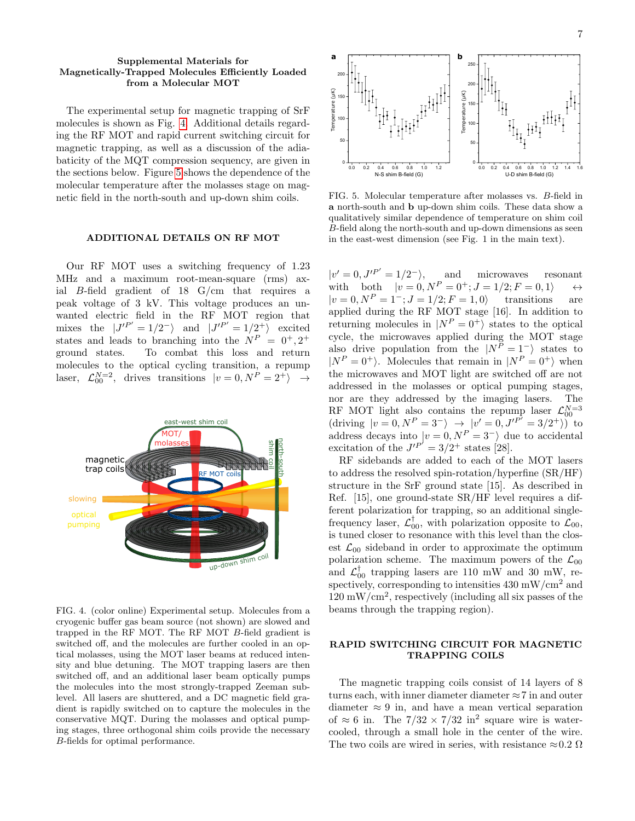### Supplemental Materials for Magnetically-Trapped Molecules Efficiently Loaded from a Molecular MOT

The experimental setup for magnetic trapping of SrF molecules is shown as Fig. [4.](#page-6-0) Additional details regarding the RF MOT and rapid current switching circuit for magnetic trapping, as well as a discussion of the adiabaticity of the MQT compression sequency, are given in the sections below. Figure [5](#page-6-1) shows the dependence of the molecular temperature after the molasses stage on magnetic field in the north-south and up-down shim coils.

#### ADDITIONAL DETAILS ON RF MOT

Our RF MOT uses a switching frequency of 1.23 MHz and a maximum root-mean-square (rms) axial B-field gradient of 18 G/cm that requires a peak voltage of 3 kV. This voltage produces an unwanted electric field in the RF MOT region that mixes the  $J'^{P'} = 1/2^-$  and  $J'^{P'} = 1/2^+$  excited states and leads to branching into the  $N^P = 0^+, 2^+$ ground states. To combat this loss and return molecules to the optical cycling transition, a repump laser,  $\mathcal{L}_{00}^{N=2}$ , drives transitions  $|v = 0, N^P = 2^+\rangle \rightarrow$ 



<span id="page-6-0"></span>FIG. 4. (color online) Experimental setup. Molecules from a cryogenic buffer gas beam source (not shown) are slowed and trapped in the RF MOT. The RF MOT B-field gradient is switched off, and the molecules are further cooled in an optical molasses, using the MOT laser beams at reduced intensity and blue detuning. The MOT trapping lasers are then switched off, and an additional laser beam optically pumps the molecules into the most strongly-trapped Zeeman sublevel. All lasers are shuttered, and a DC magnetic field gradient is rapidly switched on to capture the molecules in the conservative MQT. During the molasses and optical pumping stages, three orthogonal shim coils provide the necessary B-fields for optimal performance.



<span id="page-6-1"></span>FIG. 5. Molecular temperature after molasses vs. B-field in a north-south and b up-down shim coils. These data show a qualitatively similar dependence of temperature on shim coil B-field along the north-south and up-down dimensions as seen in the east-west dimension (see Fig. 1 in the main text).

 $|v'=0, J'^{P'}=1/2^{-}\rangle$ , and microwaves resonant with both  $|v = 0, N^P = 0^+; J = 1/2; F = 0, 1$   $\leftrightarrow$  $|v = 0, N^P = 1^-; J = 1/2; F = 1, 0$  transitions are applied during the RF MOT stage [16]. In addition to returning molecules in  $|N^P = 0^+\rangle$  states to the optical cycle, the microwaves applied during the MOT stage also drive population from the  $|N^P = 1^-|$  states to  $|N^P = 0^+\rangle$ . Molecules that remain in  $|N^P = 0^+\rangle$  when the microwaves and MOT light are switched off are not addressed in the molasses or optical pumping stages, nor are they addressed by the imaging lasers. The RF MOT light also contains the repump laser  $\mathcal{L}_{00}^{N=3}$ (driving  $|v = 0, N^P = 3^- \rangle \rightarrow |v' = 0, J'^{P'} = 3/2^+ \rangle$ ) to address decays into  $|v = 0, N^P = 3^-$  due to accidental excitation of the  $J'^{P'} = 3/2^+$  states [28].

RF sidebands are added to each of the MOT lasers to address the resolved spin-rotation/hyperfine (SR/HF) structure in the SrF ground state [15]. As described in Ref. [15], one ground-state SR/HF level requires a different polarization for trapping, so an additional singlefrequency laser,  $\mathcal{L}_{00}^{\dagger}$ , with polarization opposite to  $\mathcal{L}_{00}$ , is tuned closer to resonance with this level than the closest  $\mathcal{L}_{00}$  sideband in order to approximate the optimum polarization scheme. The maximum powers of the  $\mathcal{L}_{00}$ and  $\mathcal{L}_{00}^{\dagger}$  trapping lasers are 110 mW and 30 mW, respectively, corresponding to intensities  $430 \text{ mW/cm}^2$  and  $120 \text{ mW/cm}^2$ , respectively (including all six passes of the beams through the trapping region).

## RAPID SWITCHING CIRCUIT FOR MAGNETIC TRAPPING COILS

The magnetic trapping coils consist of 14 layers of 8 turns each, with inner diameter diameter  $\approx$  7 in and outer diameter  $\approx 9$  in, and have a mean vertical separation of  $\approx 6$  in. The  $7/32 \times 7/32$  in<sup>2</sup> square wire is watercooled, through a small hole in the center of the wire. The two coils are wired in series, with resistance  $\approx 0.2 \Omega$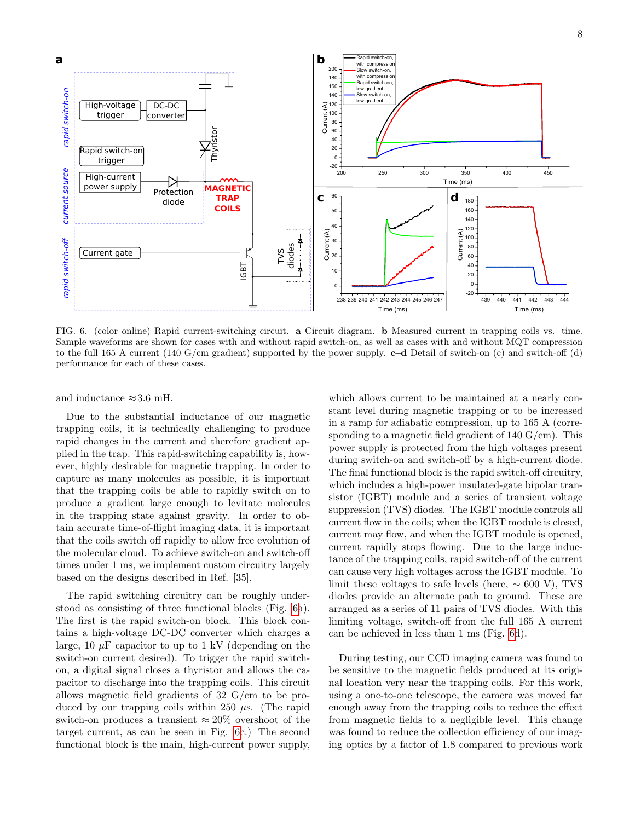

<span id="page-7-0"></span>FIG. 6. (color online) Rapid current-switching circuit. a Circuit diagram. b Measured current in trapping coils vs. time. Sample waveforms are shown for cases with and without rapid switch-on, as well as cases with and without MQT compression to the full 165 A current (140 G/cm gradient) supported by the power supply.  $c-d$  Detail of switch-on (c) and switch-off (d) performance for each of these cases.

and inductance  $\approx 3.6$  mH.

Due to the substantial inductance of our magnetic trapping coils, it is technically challenging to produce rapid changes in the current and therefore gradient applied in the trap. This rapid-switching capability is, however, highly desirable for magnetic trapping. In order to capture as many molecules as possible, it is important that the trapping coils be able to rapidly switch on to produce a gradient large enough to levitate molecules in the trapping state against gravity. In order to obtain accurate time-of-flight imaging data, it is important that the coils switch off rapidly to allow free evolution of the molecular cloud. To achieve switch-on and switch-off times under 1 ms, we implement custom circuitry largely based on the designs described in Ref. [35].

The rapid switching circuitry can be roughly understood as consisting of three functional blocks (Fig. [6a](#page-7-0)). The first is the rapid switch-on block. This block contains a high-voltage DC-DC converter which charges a large, 10  $\mu$ F capacitor to up to 1 kV (depending on the switch-on current desired). To trigger the rapid switchon, a digital signal closes a thyristor and allows the capacitor to discharge into the trapping coils. This circuit allows magnetic field gradients of 32 G/cm to be produced by our trapping coils within 250  $\mu$ s. (The rapid switch-on produces a transient  $\approx 20\%$  overshoot of the target current, as can be seen in Fig. [6c](#page-7-0).) The second functional block is the main, high-current power supply,

which allows current to be maintained at a nearly constant level during magnetic trapping or to be increased in a ramp for adiabatic compression, up to 165 A (corresponding to a magnetic field gradient of  $140 \text{ G/cm}$ . This power supply is protected from the high voltages present during switch-on and switch-off by a high-current diode. The final functional block is the rapid switch-off circuitry, which includes a high-power insulated-gate bipolar transistor (IGBT) module and a series of transient voltage suppression (TVS) diodes. The IGBT module controls all current flow in the coils; when the IGBT module is closed, current may flow, and when the IGBT module is opened, current rapidly stops flowing. Due to the large inductance of the trapping coils, rapid switch-off of the current can cause very high voltages across the IGBT module. To limit these voltages to safe levels (here,  $\sim 600$  V), TVS diodes provide an alternate path to ground. These are arranged as a series of 11 pairs of TVS diodes. With this limiting voltage, switch-off from the full 165 A current can be achieved in less than 1 ms (Fig. [6d](#page-7-0)).

During testing, our CCD imaging camera was found to be sensitive to the magnetic fields produced at its original location very near the trapping coils. For this work, using a one-to-one telescope, the camera was moved far enough away from the trapping coils to reduce the effect from magnetic fields to a negligible level. This change was found to reduce the collection efficiency of our imaging optics by a factor of 1.8 compared to previous work